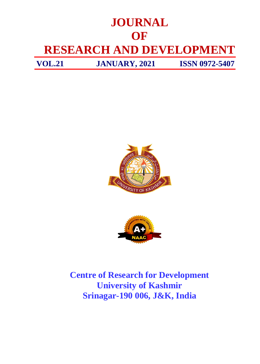# **JOURNAL OF RESEARCH AND DEVELOPMENT VOL.21 JANUARY, 2021 ISSN 0972-5407**





**Centre of Research for Development University of Kashmir Srinagar-190 006, J&K, India**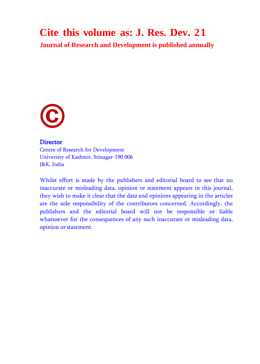#### **Cite this volume as: J. Res. Dev. 21**

**Journal of Research and Development is published annually**



#### **Director**

Centre of Research for Development University of Kashmir, Srinagar-190 006 J&K, India

Whilst effort is made by the publishers and editorial board to see that no inaccurate or misleading data, opinion or statement appears in this journal, they wish to make it clear that the data and opinions appearing in the articles are the sole responsibility of the contributors concerned. Accordingly, the publishers and the editorial board will not be responsible or liable whatsoever for the consequences of any such inaccurate or misleading data, opinion orstatement.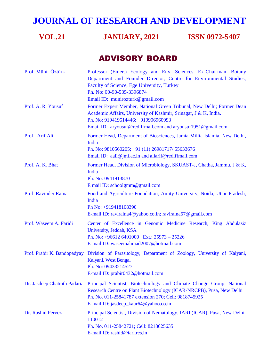### **JOURNAL OF RESEARCH AND DEVELOPMENT**

#### **VOL.21 JANUARY, 2021 ISSN 0972-5407**

#### ADVISORY BOARD

| Prof. Münir Öztürk     | Professor (Emer.) Ecology and Env. Sciences, Ex-Chairman, Botany<br>Department and Founder Director, Centre for Environmental Studies,<br>Faculty of Science, Ege University, Turkey<br>Ph. No: 00-90-535-3396874<br>Email ID: munirozturk@gmail.com                        |
|------------------------|-----------------------------------------------------------------------------------------------------------------------------------------------------------------------------------------------------------------------------------------------------------------------------|
| Prof. A. R. Yousuf     | Former Expert Member, National Green Tribunal, New Delhi; Former Dean<br>Academic Affairs, University of Kashmir, Srinagar, J & K, India.<br>Ph. No: 919419514446; +919906960993<br>Email ID: aryousuf@rediffmail.com and aryousuf1951@gmail.com                            |
| Prof. Arif Ali         | Former Head, Department of Biosciences, Jamia Millia Islamia, New Delhi,<br>India<br>Ph. No: 9810560205; +91 (11) 26981717/ 55633676<br>Email ID: aali@jmi.ac.in and aliarif@rediffmail.com                                                                                 |
| Prof. A. K. Bhat       | Former Head, Division of Microbiology, SKUAST-J, Chatha, Jammu, J & K,<br>India<br>Ph. No: 0941913870<br>E mail ID: schoolgmm@gmail.com                                                                                                                                     |
| Prof. Ravinder Raina   | Food and Agriculture Foundation, Amity University, Noida, Uttar Pradesh,<br>India<br>Ph No: +919418108390<br>E-mail ID: raviraina4@yahoo.co.in; raviraina57@gmail.com                                                                                                       |
| Prof. Waseem A. Faridi | Center of Excellence in Genomic Medicine Research, King Abdulaziz<br>University, Jeddah, KSA<br>Ph. No: $+966126401000$ Ext.: $25973 - 25226$<br>E-mail ID: waseemahmad2007@hotmail.com                                                                                     |
|                        | Prof. Prabir K. Bandopadyay Division of Parasitology, Department of Zoology, University of Kalyani,<br>Kalyani, West Bengal<br>Ph. No: 09433214527<br>E-mail ID: prabir0432@hotmail.com                                                                                     |
|                        | Dr. Jasdeep Chatrath Padaria Principal Scientist, Biotechnology and Climate Change Group, National<br>Research Centre on Plant Biotechnology (ICAR-NRCPB), Pusa, New Delhi<br>Ph. No. 011-25841787 extension 270; Cell: 9818745925<br>E-mail ID: jasdeep_kaur64@yahoo.co.in |
| Dr. Rashid Pervez      | Principal Scientist, Division of Nematology, IARI (ICAR), Pusa, New Delhi-<br>110012<br>Ph. No. 011-25842721; Cell: 8218625635<br>E-mail ID: rashid@iari.res.in                                                                                                             |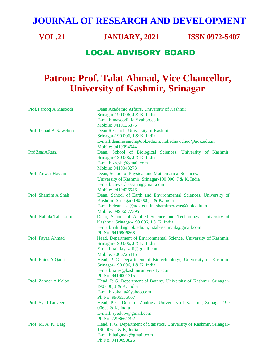#### **JOURNAL OF RESEARCH AND DEVELOPMENT**

**VOL.21 JANUARY, 2021 ISSN 0972-5407**

#### LOCAL ADVISORY BOARD

#### **Patron: Prof. Talat Ahmad, Vice Chancellor, University of Kashmir, Srinagar**

| Prof. Farooq A Masoodi | Dean Academic Affairs, University of Kashmir                           |
|------------------------|------------------------------------------------------------------------|
|                        | Srinagar-190 006, J & K, India                                         |
|                        | E-mail: masoodi_fa@yahoo.co.in                                         |
|                        | Mobile: 9419135876                                                     |
| Prof. Irshad A Nawchoo | Dean Research, University of Kashmir                                   |
|                        | Srinagar-190 006, J & K, India                                         |
|                        | E-mail:deanresearch@uok.edu.in; irshadnawchoo@uok.edu.in               |
|                        | Mobile: 9419094644                                                     |
| Prof. Zafar A Reshi    | Dean, School of Biological Sciences, University of Kashmir,            |
|                        | Srinagar-190 006, J & K, India                                         |
|                        | E-mail: $zreshi@gmail.com$                                             |
|                        | Mobile: 9419043273                                                     |
| Prof. Anwar Hassan     | Dean, School of Physical and Mathematical Sciences,                    |
|                        | University of Kashmir, Srinagar-190 006, J & K, India                  |
|                        | E-mail: anwar.hassan5@gmail.com                                        |
|                        | Mobile: 9419426546                                                     |
| Prof. Shamim A Shah    | Dean, School of Earth and Environmental Sciences, University of        |
|                        | Kashmir, Srinagar-190 006, J & K, India                                |
|                        | E-mail: deaneesc@uok.edu.in; shamimcrocus@uok.edu.in                   |
|                        | Mobile: 09906577395                                                    |
| Prof. Nahida Tabassum  | Dean, School of Applied Science and Technology, University of          |
|                        | Kashmir, Srinagar-190 006, J & K, India                                |
|                        | E-mail:nahida@uok.edu.in; n.tabassum.uk@gmail.com                      |
|                        | Ph.No. 9419906868                                                      |
| Prof. Fayaz Ahmad      | Head, Department of Environmental Science, University of Kashmir,      |
|                        | Srinagar-190 006, J & K, India                                         |
|                        | E-mail: rajafayazali@gmail.com                                         |
|                        | Mobile: 7006725416                                                     |
| Prof. Raies A Qadri    | Head, P. G. Department of Biotechnology, University of Kashmir,        |
|                        | Srinagar-190 006, J & K, India                                         |
|                        | E-mail: raies@kashmiruniversity.ac.in                                  |
|                        | Ph.No. 9419001315                                                      |
| Prof. Zahoor A Kaloo   | Head, P. G. Department of Botany, University of Kashmir, Srinagar-     |
|                        | 190 006, J & K, India                                                  |
|                        | E-mail: zakallu@yahoo.com                                              |
|                        | Ph.No: 9906535867                                                      |
| Prof. Syed Tanveer     | Head, P. G. Dept. of Zoology, University of Kashmir, Srinagar-190      |
|                        | 006, J & K, India                                                      |
|                        | E-mail: syedtnv@gmail.com                                              |
|                        | Ph.No. 7298661392                                                      |
| Prof. M. A. K. Baig    | Head, P. G. Department of Statistics, University of Kashmir, Srinagar- |
|                        | 190 006, J & K, India                                                  |
|                        | E-mail: baigmak@gmail.com                                              |
|                        | Ph.No. 9419090826                                                      |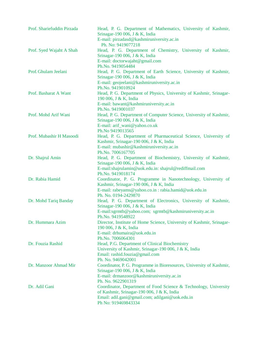| Prof. Shariefuddin Pirzada | Head, P. G. Department of Mathematics, University of Kashmir,<br>Srinagar-190 006, J & K, India                |
|----------------------------|----------------------------------------------------------------------------------------------------------------|
|                            | E-mail: pirzadasd@kashmiruniversity.ac.in<br>Ph. No: 9419077218                                                |
| Prof. Syed Wajaht A Shah   | Head, P. G. Department of Chemistry, University of Kashmir,<br>Srinagar-190 006, J & K, India                  |
|                            | E-mail: doctorwajaht@gmail.com<br>Ph.No. 9419054484                                                            |
| Prof. Ghulam Jeelani       | Head, P. G. Department of Earth Science, University of Kashmir,                                                |
|                            | Srinagar-190 006, J & K, India<br>E-mail: geojeelani@kashmiruniversity.ac.in                                   |
|                            | Ph.No. 9419010924                                                                                              |
| Prof. Basharat A Want      | Head, P. G. Department of Physics, University of Kashmir, Srinagar-<br>190 006, J & K, India                   |
|                            | E-mail: bawant@kashmiruniversity.ac.in                                                                         |
|                            | Ph.No. 9419001037                                                                                              |
| Prof. Mohd Arif Wani       | Head, P. G. Department of Computer Science, University of Kashmir,<br>Srinagar-190 006, J & K, India           |
|                            | E-mail: arif_wani@yahoo.co.uk                                                                                  |
|                            | Ph.No 9419013565                                                                                               |
| Prof. Mubashir H Masoodi   | Head, P. G. Department of Pharmaceutical Science, University of<br>Kashmir, Srinagar-190 006, J & K, India     |
|                            | E-mail: mubashir@kashmiruniversity.ac.in                                                                       |
|                            | Ph.No. 7006167705                                                                                              |
| Dr. Shajrul Amin           | Head, P. G. Department of Biochemistry, University of Kashmir,                                                 |
|                            | Srinagar-190 006, J & K, India                                                                                 |
|                            | E-mail:shajrulamin@uok.edu.in: shajrul@rediffmail.com<br>Ph.No. 9419018174                                     |
| Dr. Rabia Hamid            | Coordinator, P. G. Programme in Nanotechnology, University of                                                  |
|                            | Kashmir, Srinagar-190 006, J & K, India                                                                        |
|                            | E-mail: rabeyams@yahoo.co.in: rabia.hamid@uok.edu.in<br>Ph. No. 0194-2429870                                   |
| Dr. Mohd Tariq Banday      | Head, P. G. Department of Electronics, University of Kashmir,                                                  |
|                            | Srinagar-190 006, J & K, India                                                                                 |
|                            | E-mail:sgrmtb@yahoo.com; sgrmtb@kashmiruniversity.ac.in                                                        |
|                            | Ph.No. 9419548922                                                                                              |
| Dr. Hummara Azim           | Director, Institute of Home Science, University of Kashmir, Srinagar-                                          |
|                            | 190 006, J & K, India                                                                                          |
|                            | E-mail: drhumaira@uok.edu.in<br>Ph.No. 7006064301                                                              |
| Dr. Fouzia Rashid          | Head, P.G. Department of Clinical Biochemistry                                                                 |
|                            | University of Kashmir, Srinagar-190 006, J & K, India                                                          |
|                            | Email: rashid.fouzia@gmail.com                                                                                 |
|                            | Ph. No. 9469042001                                                                                             |
| Dr. Manzoor Ahmad Mir      | Coordinator, P. G. Programme in Bioresources, University of Kashmir,                                           |
|                            | Srinagar-190 006, J & K, India                                                                                 |
|                            | E-mail: drmanzoor@kashmiruniversity.ac.in                                                                      |
| Dr. Adil Gani              | Ph. No. 9622901319                                                                                             |
|                            | Coordinator, Department of Food Science & Technology, University<br>of Kashmir, Srinagar-190 006, J & K, India |
|                            | Email: adil.gani@gmail.com; adilgani@uok.edu.in                                                                |
|                            | Ph No: 919469843334                                                                                            |